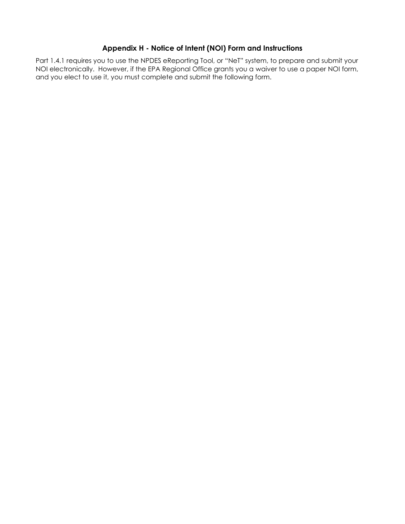# **Appendix H - Notice of Intent (NOI) Form and Instructions**

Part 1.4.1 requires you to use the NPDES eReporting Tool, or "NeT" system, to prepare and submit your NOI electronically. However, if the EPA Regional Office grants you a waiver to use a paper NOI form, and you elect to use it, you must complete and submit the following form.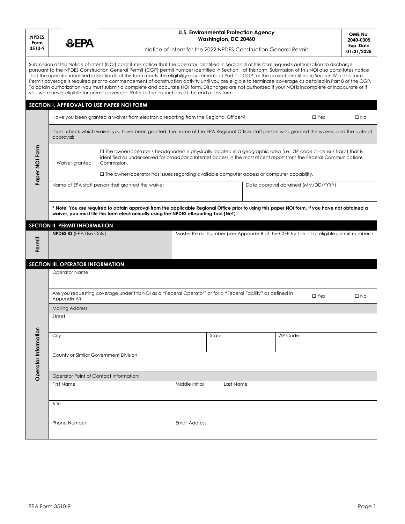| <b>NPDES</b><br>Form<br>3510-9 | EPA                                                                                                                                                                                                                                                                                  |                                                                                                                                                                                                                                                                                                                                                                                                                                                                                                                                                                                                                                                                                                                                                                                                                                                                                                                                                                       | <b>U.S. Environmental Protection Agency</b><br>OMB No.<br>Washington, DC 20460<br>2040-0305<br>Exp. Date<br>Notice of Intent for the 2022 NPDES Construction General Permit |       |           |                                                                                          |  |              |  |  |  |
|--------------------------------|--------------------------------------------------------------------------------------------------------------------------------------------------------------------------------------------------------------------------------------------------------------------------------------|-----------------------------------------------------------------------------------------------------------------------------------------------------------------------------------------------------------------------------------------------------------------------------------------------------------------------------------------------------------------------------------------------------------------------------------------------------------------------------------------------------------------------------------------------------------------------------------------------------------------------------------------------------------------------------------------------------------------------------------------------------------------------------------------------------------------------------------------------------------------------------------------------------------------------------------------------------------------------|-----------------------------------------------------------------------------------------------------------------------------------------------------------------------------|-------|-----------|------------------------------------------------------------------------------------------|--|--------------|--|--|--|
|                                |                                                                                                                                                                                                                                                                                      | Submission of this Notice of Intent (NOI) constitutes notice that the operator identified in Section III of this form requests authorization to discharge<br>pursuant to the NPDES Construction General Permit (CGP) permit number identified in Section II of this form. Submission of this NOI also constitutes notice<br>that the operator identified in Section III of this form meets the eligibility requirements of Part 1.1 CGP for the project identified in Section IV of this form.<br>Permit coverage is required prior to commencement of construction activity until you are eligible to terminate coverage as detailed in Part 8 of the CGP.<br>To obtain authorization, you must submit a complete and accurate NOI form. Discharges are not authorized if your NOI is incomplete or inaccurate or if<br>you were never eligible for permit coverage. Refer to the instructions at the end of this form.<br>SECTION I. APPROVAL TO USE PAPER NOI FORM |                                                                                                                                                                             |       |           |                                                                                          |  | 01/31/2025   |  |  |  |
|                                |                                                                                                                                                                                                                                                                                      | Have you been granted a waiver from electronic reporting from the Regional Office*?<br>$\Box$ Yes<br>$\square$ No                                                                                                                                                                                                                                                                                                                                                                                                                                                                                                                                                                                                                                                                                                                                                                                                                                                     |                                                                                                                                                                             |       |           |                                                                                          |  |              |  |  |  |
|                                | If yes, check which waiver you have been granted, the name of the EPA Regional Office staff person who granted the waiver, and the date of<br>approval:                                                                                                                              |                                                                                                                                                                                                                                                                                                                                                                                                                                                                                                                                                                                                                                                                                                                                                                                                                                                                                                                                                                       |                                                                                                                                                                             |       |           |                                                                                          |  |              |  |  |  |
| Paper NOI Form                 | $\Box$ The owner/operator's headquarters is physically located in a geographic area (i.e., ZIP code or census tract) that is<br>identified as under-served for broadband Internet access in the most recent report from the Federal Communications<br>Commission.<br>Waiver granted: |                                                                                                                                                                                                                                                                                                                                                                                                                                                                                                                                                                                                                                                                                                                                                                                                                                                                                                                                                                       |                                                                                                                                                                             |       |           |                                                                                          |  |              |  |  |  |
|                                |                                                                                                                                                                                                                                                                                      | $\Box$ The owner/operator has issues regarding available computer access or computer capability.<br>Name of EPA staff person that granted the waiver                                                                                                                                                                                                                                                                                                                                                                                                                                                                                                                                                                                                                                                                                                                                                                                                                  |                                                                                                                                                                             |       |           | Date approval obtained (MM/DD/YYYY)                                                      |  |              |  |  |  |
|                                |                                                                                                                                                                                                                                                                                      |                                                                                                                                                                                                                                                                                                                                                                                                                                                                                                                                                                                                                                                                                                                                                                                                                                                                                                                                                                       |                                                                                                                                                                             |       |           |                                                                                          |  |              |  |  |  |
|                                |                                                                                                                                                                                                                                                                                      | * Note: You are required to obtain approval from the applicable Regional Office prior to using this paper NOI form. If you have not obtained a<br>waiver, you must file this form electronically using the NPDES eReporting Tool (NeT).                                                                                                                                                                                                                                                                                                                                                                                                                                                                                                                                                                                                                                                                                                                               |                                                                                                                                                                             |       |           |                                                                                          |  |              |  |  |  |
| Permit                         | <b>SECTION II. PERMIT INFORMATION</b><br><b>NPDES ID (EPA Use Only)</b>                                                                                                                                                                                                              |                                                                                                                                                                                                                                                                                                                                                                                                                                                                                                                                                                                                                                                                                                                                                                                                                                                                                                                                                                       |                                                                                                                                                                             |       |           | Master Permit Number (see Appendix B of the CGP for the list of eligible permit numbers) |  |              |  |  |  |
|                                | SECTION III. OPERATOR INFORMATION<br><b>Operator Name</b>                                                                                                                                                                                                                            |                                                                                                                                                                                                                                                                                                                                                                                                                                                                                                                                                                                                                                                                                                                                                                                                                                                                                                                                                                       |                                                                                                                                                                             |       |           |                                                                                          |  |              |  |  |  |
|                                | Are you requesting coverage under this NOI as a "Federal Operator" or for a "Federal Facility" as defined in<br>$\Box$ Yes<br>Appendix A?                                                                                                                                            |                                                                                                                                                                                                                                                                                                                                                                                                                                                                                                                                                                                                                                                                                                                                                                                                                                                                                                                                                                       |                                                                                                                                                                             |       |           |                                                                                          |  | $\square$ No |  |  |  |
|                                | <b>Mailing Address</b><br>Street                                                                                                                                                                                                                                                     |                                                                                                                                                                                                                                                                                                                                                                                                                                                                                                                                                                                                                                                                                                                                                                                                                                                                                                                                                                       |                                                                                                                                                                             |       |           |                                                                                          |  |              |  |  |  |
|                                |                                                                                                                                                                                                                                                                                      |                                                                                                                                                                                                                                                                                                                                                                                                                                                                                                                                                                                                                                                                                                                                                                                                                                                                                                                                                                       |                                                                                                                                                                             |       |           |                                                                                          |  |              |  |  |  |
|                                | City                                                                                                                                                                                                                                                                                 |                                                                                                                                                                                                                                                                                                                                                                                                                                                                                                                                                                                                                                                                                                                                                                                                                                                                                                                                                                       |                                                                                                                                                                             | State |           | <b>ZIP Code</b>                                                                          |  |              |  |  |  |
| Operator Information           | County or Similar Government Division                                                                                                                                                                                                                                                |                                                                                                                                                                                                                                                                                                                                                                                                                                                                                                                                                                                                                                                                                                                                                                                                                                                                                                                                                                       |                                                                                                                                                                             |       |           |                                                                                          |  |              |  |  |  |
|                                |                                                                                                                                                                                                                                                                                      | Operator Point of Contact Information:                                                                                                                                                                                                                                                                                                                                                                                                                                                                                                                                                                                                                                                                                                                                                                                                                                                                                                                                |                                                                                                                                                                             |       |           |                                                                                          |  |              |  |  |  |
|                                | First Name                                                                                                                                                                                                                                                                           |                                                                                                                                                                                                                                                                                                                                                                                                                                                                                                                                                                                                                                                                                                                                                                                                                                                                                                                                                                       | Middle Initial                                                                                                                                                              |       | Last Name |                                                                                          |  |              |  |  |  |
|                                | Title                                                                                                                                                                                                                                                                                |                                                                                                                                                                                                                                                                                                                                                                                                                                                                                                                                                                                                                                                                                                                                                                                                                                                                                                                                                                       |                                                                                                                                                                             |       |           |                                                                                          |  |              |  |  |  |
|                                | Phone Number                                                                                                                                                                                                                                                                         |                                                                                                                                                                                                                                                                                                                                                                                                                                                                                                                                                                                                                                                                                                                                                                                                                                                                                                                                                                       | <b>Email Address</b>                                                                                                                                                        |       |           |                                                                                          |  |              |  |  |  |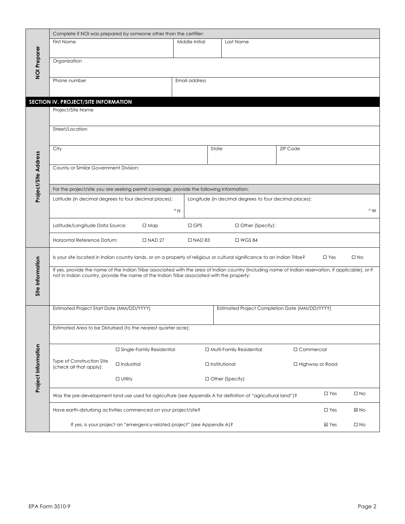|                      | Complete if NOI was prepared by someone other than the certifier:                                                                                         |                             |                |       |                                                        |                 |                   |                   |  |  |
|----------------------|-----------------------------------------------------------------------------------------------------------------------------------------------------------|-----------------------------|----------------|-------|--------------------------------------------------------|-----------------|-------------------|-------------------|--|--|
| NOI Preparer         | <b>First Name</b>                                                                                                                                         |                             | Middle Initial |       | Last Name                                              |                 |                   |                   |  |  |
|                      | Organization                                                                                                                                              |                             |                |       |                                                        |                 |                   |                   |  |  |
|                      |                                                                                                                                                           |                             |                |       |                                                        |                 |                   |                   |  |  |
|                      | Phone number                                                                                                                                              |                             | Email address  |       |                                                        |                 |                   |                   |  |  |
|                      |                                                                                                                                                           |                             |                |       |                                                        |                 |                   |                   |  |  |
|                      | SECTION IV. PROJECT/SITE INFORMATION<br>Project/Site Name                                                                                                 |                             |                |       |                                                        |                 |                   |                   |  |  |
|                      |                                                                                                                                                           |                             |                |       |                                                        |                 |                   |                   |  |  |
|                      | Street/Location                                                                                                                                           |                             |                |       |                                                        |                 |                   |                   |  |  |
|                      |                                                                                                                                                           |                             |                |       |                                                        |                 |                   |                   |  |  |
|                      | City                                                                                                                                                      |                             |                | State |                                                        | <b>ZIP Code</b> |                   |                   |  |  |
|                      | County or Similar Government Division:                                                                                                                    |                             |                |       |                                                        |                 |                   |                   |  |  |
|                      |                                                                                                                                                           |                             |                |       |                                                        |                 |                   |                   |  |  |
| Project/Site Address | For the project/site you are seeking permit coverage, provide the following information:                                                                  |                             |                |       |                                                        |                 |                   |                   |  |  |
|                      | Latitude (in decimal degrees to four decimal places):                                                                                                     |                             |                |       | Longitude (in decimal degrees to four decimal places): |                 |                   |                   |  |  |
|                      |                                                                                                                                                           |                             | $\circ N$      |       |                                                        |                 |                   | $\circ w$         |  |  |
|                      | Latitude/Longitude Data Source:                                                                                                                           | $\Box$ Map                  | $\Box$ GPS     |       | □ Other (Specify):                                     |                 |                   |                   |  |  |
|                      | Horizontal Reference Datum:<br>$\square$ NAD 27<br>$\square$ NAD 83<br>$\Box$ WGS 84                                                                      |                             |                |       |                                                        |                 |                   |                   |  |  |
|                      | Is your site located in Indian country lands, or on a property of religious or cultural significance to an Indian Tribe?<br>$\square$ Yes<br>$\square$ No |                             |                |       |                                                        |                 |                   |                   |  |  |
|                      | If yes, provide the name of the Indian Tribe associated with the area of Indian country (including name of Indian reservation, if applicable), or if      |                             |                |       |                                                        |                 |                   |                   |  |  |
| Site Information     | not in Indian country, provide the name of the Indian Tribe associated with the property:                                                                 |                             |                |       |                                                        |                 |                   |                   |  |  |
|                      |                                                                                                                                                           |                             |                |       |                                                        |                 |                   |                   |  |  |
|                      | Estimated Project Start Date (MM/DD/YYYY)                                                                                                                 |                             |                |       | Estimated Project Completion Date (MM/DD/YYYY)         |                 |                   |                   |  |  |
|                      |                                                                                                                                                           |                             |                |       |                                                        |                 |                   |                   |  |  |
|                      | Estimated Area to be Disturbed (to the nearest quarter acre):                                                                                             |                             |                |       |                                                        |                 |                   |                   |  |  |
|                      |                                                                                                                                                           |                             |                |       |                                                        |                 |                   |                   |  |  |
|                      | Type of Construction Site                                                                                                                                 | □ Single-Family Residential |                |       | □ Multi-Family Residential                             | □ Commercial    |                   |                   |  |  |
|                      | (check all that apply):                                                                                                                                   | $\Box$ Industrial           |                |       | $\Box$ Institutional                                   |                 | □ Highway or Road |                   |  |  |
| Project Information  |                                                                                                                                                           | $\Box$ Utility              |                |       | □ Other (Specify):                                     |                 |                   |                   |  |  |
|                      | Was the pre-development land use used for agriculture (see Appendix A for definition of "agricultural land")?                                             |                             |                |       |                                                        |                 | $\square$ Yes     | $\square$ No      |  |  |
|                      | Have earth-disturbing activities commenced on your project/site?                                                                                          |                             |                |       |                                                        |                 | $\square$ Yes     | $\blacksquare$ No |  |  |
|                      | If yes, is your project an "emergency-related project" (see Appendix A)?                                                                                  |                             |                |       |                                                        |                 | $\sqsubseteq$ Yes | $\square$ No      |  |  |
|                      |                                                                                                                                                           |                             |                |       |                                                        |                 |                   |                   |  |  |
|                      |                                                                                                                                                           |                             |                |       |                                                        |                 |                   |                   |  |  |
|                      |                                                                                                                                                           |                             |                |       |                                                        |                 |                   |                   |  |  |
|                      |                                                                                                                                                           |                             |                |       |                                                        |                 |                   |                   |  |  |
|                      |                                                                                                                                                           |                             |                |       |                                                        |                 |                   |                   |  |  |
|                      |                                                                                                                                                           |                             |                |       |                                                        |                 |                   |                   |  |  |
| EPA Form 3510-9      |                                                                                                                                                           |                             |                |       |                                                        |                 |                   | Page 2            |  |  |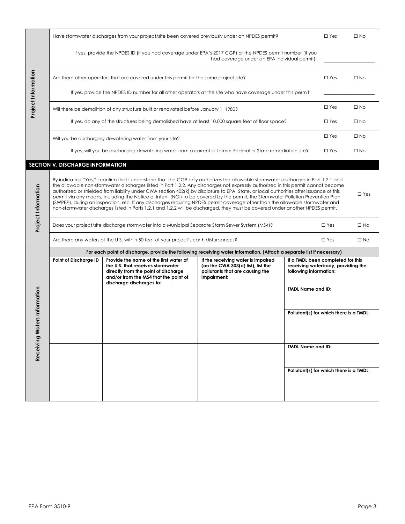|                              | Have stormwater discharges from your project/site been covered previously under an NPDES permit?                                                                                                                                                                                                                                                                                                                                                                                                                                                                                                                                                                                                                                                                                                                            |                                                                                                                                                                                          | $\Box$ Yes                                                                                                                 | $\square$ No                                                                                      |               |              |
|------------------------------|-----------------------------------------------------------------------------------------------------------------------------------------------------------------------------------------------------------------------------------------------------------------------------------------------------------------------------------------------------------------------------------------------------------------------------------------------------------------------------------------------------------------------------------------------------------------------------------------------------------------------------------------------------------------------------------------------------------------------------------------------------------------------------------------------------------------------------|------------------------------------------------------------------------------------------------------------------------------------------------------------------------------------------|----------------------------------------------------------------------------------------------------------------------------|---------------------------------------------------------------------------------------------------|---------------|--------------|
|                              |                                                                                                                                                                                                                                                                                                                                                                                                                                                                                                                                                                                                                                                                                                                                                                                                                             | If yes, provide the NPDES ID (if you had coverage under EPA's 2017 CGP) or the NPDES permit number (if you                                                                               | had coverage under an EPA individual permit):                                                                              |                                                                                                   |               |              |
|                              | Are there other operators that are covered under this permit for the same project site?                                                                                                                                                                                                                                                                                                                                                                                                                                                                                                                                                                                                                                                                                                                                     |                                                                                                                                                                                          | $\square$ Yes                                                                                                              | $\square$ No                                                                                      |               |              |
| Project Information          |                                                                                                                                                                                                                                                                                                                                                                                                                                                                                                                                                                                                                                                                                                                                                                                                                             | If yes, provide the NPDES ID number for all other operators at the site who have coverage under this permit:                                                                             |                                                                                                                            |                                                                                                   |               |              |
|                              |                                                                                                                                                                                                                                                                                                                                                                                                                                                                                                                                                                                                                                                                                                                                                                                                                             | Will there be demolition of any structure built or renovated before January 1, 1980?                                                                                                     |                                                                                                                            |                                                                                                   | $\Box$ Yes    | $\square$ No |
|                              |                                                                                                                                                                                                                                                                                                                                                                                                                                                                                                                                                                                                                                                                                                                                                                                                                             | If yes, do any of the structures being demolished have at least 10,000 square feet of floor space?                                                                                       |                                                                                                                            |                                                                                                   | $\square$ Yes | $\square$ No |
|                              | Will you be discharging dewatering water from your site?                                                                                                                                                                                                                                                                                                                                                                                                                                                                                                                                                                                                                                                                                                                                                                    |                                                                                                                                                                                          | $\square$ Yes                                                                                                              | $\square$ No                                                                                      |               |              |
|                              |                                                                                                                                                                                                                                                                                                                                                                                                                                                                                                                                                                                                                                                                                                                                                                                                                             | If yes, will you be discharging dewatering water from a current or former Federal or State remediation site?                                                                             |                                                                                                                            |                                                                                                   | $\square$ Yes | $\square$ No |
|                              | SECTION V. DISCHARGE INFORMATION                                                                                                                                                                                                                                                                                                                                                                                                                                                                                                                                                                                                                                                                                                                                                                                            |                                                                                                                                                                                          |                                                                                                                            |                                                                                                   |               |              |
| Project Information          | By indicating "Yes," I confirm that I understand that the CGP only authorizes the allowable stormwater discharges in Part 1.2.1 and<br>the allowable non-stormwater discharges listed in Part 1.2.2. Any discharges not expressly authorized in this permit cannot become<br>authorized or shielded from liability under CWA section 402(k) by disclosure to EPA, State, or local authorities after issuance of this<br>permit via any means, including the Notice of Intent (NOI) to be covered by the permit, the Stormwater Pollution Prevention Plan<br>(SWPPP), during an inspection, etc. If any discharges requiring NPDES permit coverage other than the allowable stormwater and<br>non-stormwater discharges listed in Parts 1.2.1 and 1.2.2 will be discharged, they must be covered under another NPDES permit. |                                                                                                                                                                                          |                                                                                                                            | $\Box$ Yes                                                                                        |               |              |
|                              | Does your project/site discharge stormwater into a Municipal Separate Storm Sewer System (MS4)?                                                                                                                                                                                                                                                                                                                                                                                                                                                                                                                                                                                                                                                                                                                             | $\square$ Yes                                                                                                                                                                            | $\square$ No                                                                                                               |                                                                                                   |               |              |
|                              | Are there any waters of the U.S. within 50 feet of your project's earth disturbances?                                                                                                                                                                                                                                                                                                                                                                                                                                                                                                                                                                                                                                                                                                                                       | $\square$ Yes                                                                                                                                                                            | $\square$ No                                                                                                               |                                                                                                   |               |              |
|                              |                                                                                                                                                                                                                                                                                                                                                                                                                                                                                                                                                                                                                                                                                                                                                                                                                             | For each point of discharge, provide the following receiving water information. (Attach a separate list if necessary)                                                                    |                                                                                                                            |                                                                                                   |               |              |
|                              | Point of Discharge ID                                                                                                                                                                                                                                                                                                                                                                                                                                                                                                                                                                                                                                                                                                                                                                                                       | Provide the name of the first water of<br>the U.S. that receives stormwater<br>directly from the point of discharge<br>and/or from the MS4 that the point of<br>discharge discharges to: | If the receiving water is impaired<br>(on the CWA 303(d) list), list the<br>pollutants that are causing the<br>impairment: | If a TMDL been completed for this<br>receiving waterbody, providing the<br>following information: |               |              |
|                              |                                                                                                                                                                                                                                                                                                                                                                                                                                                                                                                                                                                                                                                                                                                                                                                                                             |                                                                                                                                                                                          |                                                                                                                            | <b>TMDL Name and ID:</b>                                                                          |               |              |
| Receiving Waters Information |                                                                                                                                                                                                                                                                                                                                                                                                                                                                                                                                                                                                                                                                                                                                                                                                                             |                                                                                                                                                                                          |                                                                                                                            | Pollutant(s) for which there is a TMDL:                                                           |               |              |
|                              |                                                                                                                                                                                                                                                                                                                                                                                                                                                                                                                                                                                                                                                                                                                                                                                                                             |                                                                                                                                                                                          |                                                                                                                            | <b>TMDL Name and ID:</b>                                                                          |               |              |
|                              |                                                                                                                                                                                                                                                                                                                                                                                                                                                                                                                                                                                                                                                                                                                                                                                                                             |                                                                                                                                                                                          |                                                                                                                            |                                                                                                   |               |              |
|                              |                                                                                                                                                                                                                                                                                                                                                                                                                                                                                                                                                                                                                                                                                                                                                                                                                             |                                                                                                                                                                                          |                                                                                                                            | Pollutant(s) for which there is a TMDL:                                                           |               |              |
|                              |                                                                                                                                                                                                                                                                                                                                                                                                                                                                                                                                                                                                                                                                                                                                                                                                                             |                                                                                                                                                                                          |                                                                                                                            |                                                                                                   |               |              |
|                              |                                                                                                                                                                                                                                                                                                                                                                                                                                                                                                                                                                                                                                                                                                                                                                                                                             |                                                                                                                                                                                          |                                                                                                                            |                                                                                                   |               |              |
|                              |                                                                                                                                                                                                                                                                                                                                                                                                                                                                                                                                                                                                                                                                                                                                                                                                                             |                                                                                                                                                                                          |                                                                                                                            |                                                                                                   |               |              |
|                              |                                                                                                                                                                                                                                                                                                                                                                                                                                                                                                                                                                                                                                                                                                                                                                                                                             |                                                                                                                                                                                          |                                                                                                                            |                                                                                                   |               |              |
|                              |                                                                                                                                                                                                                                                                                                                                                                                                                                                                                                                                                                                                                                                                                                                                                                                                                             |                                                                                                                                                                                          |                                                                                                                            |                                                                                                   |               |              |
|                              |                                                                                                                                                                                                                                                                                                                                                                                                                                                                                                                                                                                                                                                                                                                                                                                                                             |                                                                                                                                                                                          |                                                                                                                            |                                                                                                   |               |              |
|                              |                                                                                                                                                                                                                                                                                                                                                                                                                                                                                                                                                                                                                                                                                                                                                                                                                             |                                                                                                                                                                                          |                                                                                                                            |                                                                                                   |               |              |
|                              |                                                                                                                                                                                                                                                                                                                                                                                                                                                                                                                                                                                                                                                                                                                                                                                                                             |                                                                                                                                                                                          |                                                                                                                            |                                                                                                   |               |              |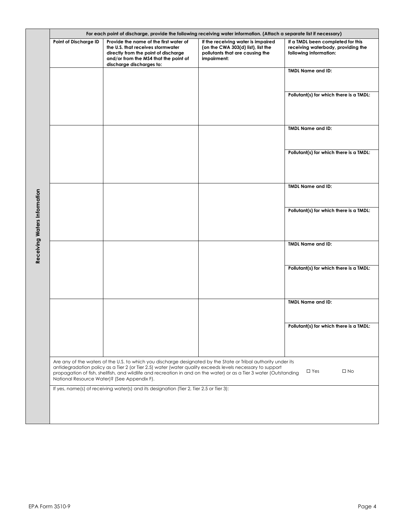|                              | For each point of discharge, provide the following receiving water information. (Attach a separate list if necessary) |                                                                                                                                                                                                                                                                                                                                                                                                  |                                                                                                                            |                                                                                                   |  |  |  |  |  |
|------------------------------|-----------------------------------------------------------------------------------------------------------------------|--------------------------------------------------------------------------------------------------------------------------------------------------------------------------------------------------------------------------------------------------------------------------------------------------------------------------------------------------------------------------------------------------|----------------------------------------------------------------------------------------------------------------------------|---------------------------------------------------------------------------------------------------|--|--|--|--|--|
|                              | Point of Discharge ID                                                                                                 | Provide the name of the first water of<br>the U.S. that receives stormwater<br>directly from the point of discharge<br>and/or from the MS4 that the point of<br>discharge discharges to:                                                                                                                                                                                                         | If the receiving water is impaired<br>(on the CWA 303(d) list), list the<br>pollutants that are causing the<br>impairment: | If a TMDL been completed for this<br>receiving waterbody, providing the<br>following information: |  |  |  |  |  |
|                              |                                                                                                                       |                                                                                                                                                                                                                                                                                                                                                                                                  |                                                                                                                            | <b>TMDL Name and ID:</b>                                                                          |  |  |  |  |  |
|                              |                                                                                                                       |                                                                                                                                                                                                                                                                                                                                                                                                  |                                                                                                                            |                                                                                                   |  |  |  |  |  |
|                              |                                                                                                                       |                                                                                                                                                                                                                                                                                                                                                                                                  |                                                                                                                            | Pollutant(s) for which there is a TMDL:                                                           |  |  |  |  |  |
|                              |                                                                                                                       |                                                                                                                                                                                                                                                                                                                                                                                                  |                                                                                                                            | <b>TMDL Name and ID:</b>                                                                          |  |  |  |  |  |
|                              |                                                                                                                       |                                                                                                                                                                                                                                                                                                                                                                                                  |                                                                                                                            | Pollutant(s) for which there is a TMDL:                                                           |  |  |  |  |  |
|                              |                                                                                                                       |                                                                                                                                                                                                                                                                                                                                                                                                  |                                                                                                                            | <b>TMDL Name and ID:</b>                                                                          |  |  |  |  |  |
|                              |                                                                                                                       |                                                                                                                                                                                                                                                                                                                                                                                                  |                                                                                                                            |                                                                                                   |  |  |  |  |  |
| Receiving Waters Information |                                                                                                                       |                                                                                                                                                                                                                                                                                                                                                                                                  |                                                                                                                            | Pollutant(s) for which there is a TMDL:                                                           |  |  |  |  |  |
|                              |                                                                                                                       |                                                                                                                                                                                                                                                                                                                                                                                                  |                                                                                                                            |                                                                                                   |  |  |  |  |  |
|                              |                                                                                                                       |                                                                                                                                                                                                                                                                                                                                                                                                  |                                                                                                                            | <b>TMDL Name and ID:</b>                                                                          |  |  |  |  |  |
|                              |                                                                                                                       |                                                                                                                                                                                                                                                                                                                                                                                                  |                                                                                                                            | Pollutant(s) for which there is a TMDL:                                                           |  |  |  |  |  |
|                              |                                                                                                                       |                                                                                                                                                                                                                                                                                                                                                                                                  |                                                                                                                            |                                                                                                   |  |  |  |  |  |
|                              |                                                                                                                       |                                                                                                                                                                                                                                                                                                                                                                                                  |                                                                                                                            | <b>TMDL Name and ID:</b>                                                                          |  |  |  |  |  |
|                              |                                                                                                                       |                                                                                                                                                                                                                                                                                                                                                                                                  |                                                                                                                            | Pollutant(s) for which there is a TMDL:                                                           |  |  |  |  |  |
|                              |                                                                                                                       |                                                                                                                                                                                                                                                                                                                                                                                                  |                                                                                                                            |                                                                                                   |  |  |  |  |  |
|                              |                                                                                                                       | Are any of the waters of the U.S. to which you discharge designated by the State or Tribal authority under its<br>antidegradation policy as a Tier 2 (or Tier 2.5) water (water quality exceeds levels necessary to support<br>propagation of fish, shellfish, and wildlife and recreation in and on the water) or as a Tier 3 water (Outstanding<br>National Resource Water)? (See Appendix F). |                                                                                                                            | $\square$ Yes<br>$\square$ No                                                                     |  |  |  |  |  |
|                              |                                                                                                                       | If yes, name(s) of receiving water(s) and its designation (Tier 2, Tier 2.5 or Tier 3):                                                                                                                                                                                                                                                                                                          |                                                                                                                            |                                                                                                   |  |  |  |  |  |
|                              |                                                                                                                       |                                                                                                                                                                                                                                                                                                                                                                                                  |                                                                                                                            |                                                                                                   |  |  |  |  |  |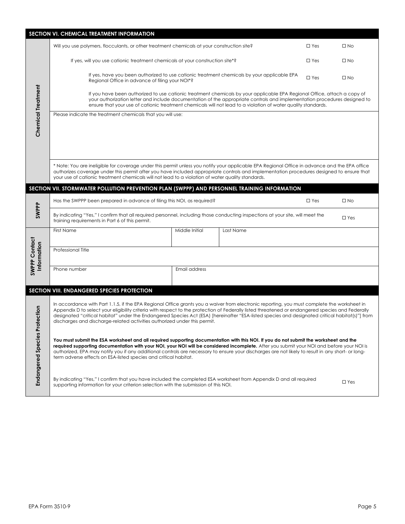|                                      | <b>SECTION VI. CHEMICAL TREATMENT INFORMATION</b>                                                                                                                                                                                                                                                                                                                                                                                                                                                                               |                |              |               |              |  |  |  |  |
|--------------------------------------|---------------------------------------------------------------------------------------------------------------------------------------------------------------------------------------------------------------------------------------------------------------------------------------------------------------------------------------------------------------------------------------------------------------------------------------------------------------------------------------------------------------------------------|----------------|--------------|---------------|--------------|--|--|--|--|
|                                      | Will you use polymers, flocculants, or other treatment chemicals at your construction site?                                                                                                                                                                                                                                                                                                                                                                                                                                     |                |              | $\square$ Yes | $\square$ No |  |  |  |  |
|                                      | If yes, will you use cationic treatment chemicals at your construction site*?                                                                                                                                                                                                                                                                                                                                                                                                                                                   |                |              | $\square$ Yes | $\square$ No |  |  |  |  |
|                                      | If yes, have you been authorized to use cationic treatment chemicals by your applicable EPA<br>Regional Office in advance of filing your NOI*?                                                                                                                                                                                                                                                                                                                                                                                  |                |              | $\square$ Yes | $\square$ No |  |  |  |  |
|                                      | If you have been authorized to use cationic treatment chemicals by your applicable EPA Regional Office, attach a copy of<br>your authorization letter and include documentation of the appropriate controls and implementation procedures designed to<br>ensure that your use of cationic treatment chemicals will not lead to a violation of water quality standards.                                                                                                                                                          |                |              |               |              |  |  |  |  |
| <b>Chemical Treatment</b>            | Please indicate the treatment chemicals that you will use:                                                                                                                                                                                                                                                                                                                                                                                                                                                                      |                |              |               |              |  |  |  |  |
|                                      | * Note: You are ineligible for coverage under this permit unless you notify your applicable EPA Regional Office in advance and the EPA office<br>authorizes coverage under this permit after you have included appropriate controls and implementation procedures designed to ensure that<br>your use of cationic treatment chemicals will not lead to a violation of water quality standards.                                                                                                                                  |                |              |               |              |  |  |  |  |
|                                      | SECTION VII. STORMWATER POLLUTION PREVENTION PLAN (SWPPP) AND PERSONNEL TRAINING INFORMATION                                                                                                                                                                                                                                                                                                                                                                                                                                    |                |              |               |              |  |  |  |  |
|                                      | Has the SWPPP been prepared in advance of filing this NOI, as required?                                                                                                                                                                                                                                                                                                                                                                                                                                                         | $\square$ Yes  | $\square$ No |               |              |  |  |  |  |
| SWPPP                                | By indicating "Yes," I confirm that all required personnel, including those conducting inspections at your site, will meet the<br>$\square$ Yes<br>training requirements in Part 6 of this permit.                                                                                                                                                                                                                                                                                                                              |                |              |               |              |  |  |  |  |
|                                      | First Name                                                                                                                                                                                                                                                                                                                                                                                                                                                                                                                      | Middle Initial | Last Name    |               |              |  |  |  |  |
| SWPPP Contact<br>Information         | Professional Title                                                                                                                                                                                                                                                                                                                                                                                                                                                                                                              |                |              |               |              |  |  |  |  |
|                                      | Phone number                                                                                                                                                                                                                                                                                                                                                                                                                                                                                                                    | Email address  |              |               |              |  |  |  |  |
|                                      | <b>SECTION VIII. ENDANGERED SPECIES PROTECTION</b>                                                                                                                                                                                                                                                                                                                                                                                                                                                                              |                |              |               |              |  |  |  |  |
| <b>Endangered Species Protection</b> | In accordance with Part 1.1.5, if the EPA Regional Office grants you a waiver from electronic reporting, you must complete the worksheet in<br>Appendix D to select your eligibility criteria with respect to the protection of Federally listed threatened or endangered species and Federally<br>designated "critical habitat" under the Endangered Species Act (ESA) [hereinafter "ESA-listed species and designated critical habitat(s)"] from<br>discharges and discharge-related activities authorized under this permit. |                |              |               |              |  |  |  |  |
|                                      | You must submit the ESA worksheet and all required supporting documentation with this NOI. If you do not submit the worksheet and the<br>required supporting documentation with your NOI, your NOI will be considered incomplete. After you submit your NOI and before your NOI is<br>authorized, EPA may notify you if any additional controls are necessary to ensure your discharges are not likely to result in any short- or long-<br>term adverse effects on ESA-listed species and critical habitat.                     |                |              |               |              |  |  |  |  |
|                                      | By indicating "Yes," I confirm that you have included the completed ESA worksheet from Appendix D and all required<br>$\square$ Yes<br>supporting information for your criterion selection with the submission of this NOI.                                                                                                                                                                                                                                                                                                     |                |              |               |              |  |  |  |  |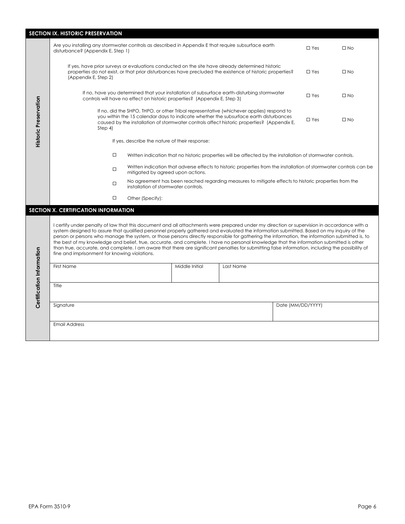|                              | SECTION IX. HISTORIC PRESERVATION                                                                                                                                                                                                                                                                                                                                                                                                                                                                                                                                                                                                                                                                                                                                                         |                                                                                                                                              |                                                                           |                                                                                                                                                                                                                                                                                 |                   |            |              |  |  |  |
|------------------------------|-------------------------------------------------------------------------------------------------------------------------------------------------------------------------------------------------------------------------------------------------------------------------------------------------------------------------------------------------------------------------------------------------------------------------------------------------------------------------------------------------------------------------------------------------------------------------------------------------------------------------------------------------------------------------------------------------------------------------------------------------------------------------------------------|----------------------------------------------------------------------------------------------------------------------------------------------|---------------------------------------------------------------------------|---------------------------------------------------------------------------------------------------------------------------------------------------------------------------------------------------------------------------------------------------------------------------------|-------------------|------------|--------------|--|--|--|
| <b>Historic Preservation</b> | Are you installing any stormwater controls as described in Appendix E that require subsurface earth<br>disturbance? (Appendix E, Step 1)                                                                                                                                                                                                                                                                                                                                                                                                                                                                                                                                                                                                                                                  |                                                                                                                                              |                                                                           |                                                                                                                                                                                                                                                                                 |                   | $\Box$ Yes | $\Box$ No    |  |  |  |
|                              | If yes, have prior surveys or evaluations conducted on the site have already determined historic<br>properties do not exist, or that prior disturbances have precluded the existence of historic properties?<br>(Appendix E, Step 2)                                                                                                                                                                                                                                                                                                                                                                                                                                                                                                                                                      |                                                                                                                                              |                                                                           |                                                                                                                                                                                                                                                                                 |                   | $\Box$ Yes | $\square$ No |  |  |  |
|                              |                                                                                                                                                                                                                                                                                                                                                                                                                                                                                                                                                                                                                                                                                                                                                                                           |                                                                                                                                              | controls will have no effect on historic properties? (Appendix E, Step 3) | If no, have you determined that your installation of subsurface earth-disturbing stormwater                                                                                                                                                                                     |                   | $\Box$ Yes | $\square$ No |  |  |  |
|                              | Step 4)                                                                                                                                                                                                                                                                                                                                                                                                                                                                                                                                                                                                                                                                                                                                                                                   |                                                                                                                                              |                                                                           | If no, did the SHPO, THPO, or other Tribal representative (whichever applies) respond to<br>you within the 15 calendar days to indicate whether the subsurface earth disturbances<br>caused by the installation of stormwater controls affect historic properties? (Appendix E, |                   | $\Box$ Yes | $\square$ No |  |  |  |
|                              |                                                                                                                                                                                                                                                                                                                                                                                                                                                                                                                                                                                                                                                                                                                                                                                           | If yes, describe the nature of their response:                                                                                               |                                                                           |                                                                                                                                                                                                                                                                                 |                   |            |              |  |  |  |
|                              | $\Box$<br>Written indication that no historic properties will be affected by the installation of stormwater controls.                                                                                                                                                                                                                                                                                                                                                                                                                                                                                                                                                                                                                                                                     |                                                                                                                                              |                                                                           |                                                                                                                                                                                                                                                                                 |                   |            |              |  |  |  |
|                              | Written indication that adverse effects to historic properties from the installation of stormwater controls can be<br>$\Box$<br>mitigated by agreed upon actions.                                                                                                                                                                                                                                                                                                                                                                                                                                                                                                                                                                                                                         |                                                                                                                                              |                                                                           |                                                                                                                                                                                                                                                                                 |                   |            |              |  |  |  |
|                              | $\Box$                                                                                                                                                                                                                                                                                                                                                                                                                                                                                                                                                                                                                                                                                                                                                                                    | No agreement has been reached regarding measures to mitigate effects to historic properties from the<br>installation of stormwater controls. |                                                                           |                                                                                                                                                                                                                                                                                 |                   |            |              |  |  |  |
|                              | $\Box$<br>Other (Specify):                                                                                                                                                                                                                                                                                                                                                                                                                                                                                                                                                                                                                                                                                                                                                                |                                                                                                                                              |                                                                           |                                                                                                                                                                                                                                                                                 |                   |            |              |  |  |  |
|                              | SECTION X. CERTIFICATION INFORMATION                                                                                                                                                                                                                                                                                                                                                                                                                                                                                                                                                                                                                                                                                                                                                      |                                                                                                                                              |                                                                           |                                                                                                                                                                                                                                                                                 |                   |            |              |  |  |  |
|                              | I certify under penalty of law that this document and all attachments were prepared under my direction or supervision in accordance with a<br>system designed to assure that qualified personnel properly gathered and evaluated the information submitted. Based on my inquiry of the<br>person or persons who manage the system, or those persons directly responsible for gathering the information, the information submitted is, to<br>the best of my knowledge and belief, true, accurate, and complete. I have no personal knowledge that the information submitted is other<br>than true, accurate, and complete. I am aware that there are significant penalties for submitting false information, including the possibility of<br>fine and imprisonment for knowing violations. |                                                                                                                                              |                                                                           |                                                                                                                                                                                                                                                                                 |                   |            |              |  |  |  |
|                              | First Name                                                                                                                                                                                                                                                                                                                                                                                                                                                                                                                                                                                                                                                                                                                                                                                |                                                                                                                                              | Middle Initial                                                            | Last Name                                                                                                                                                                                                                                                                       |                   |            |              |  |  |  |
| Certification Information    | Title                                                                                                                                                                                                                                                                                                                                                                                                                                                                                                                                                                                                                                                                                                                                                                                     |                                                                                                                                              |                                                                           |                                                                                                                                                                                                                                                                                 |                   |            |              |  |  |  |
|                              | Signature                                                                                                                                                                                                                                                                                                                                                                                                                                                                                                                                                                                                                                                                                                                                                                                 |                                                                                                                                              |                                                                           |                                                                                                                                                                                                                                                                                 | Date (MM/DD/YYYY) |            |              |  |  |  |
| <b>Email Address</b>         |                                                                                                                                                                                                                                                                                                                                                                                                                                                                                                                                                                                                                                                                                                                                                                                           |                                                                                                                                              |                                                                           |                                                                                                                                                                                                                                                                                 |                   |            |              |  |  |  |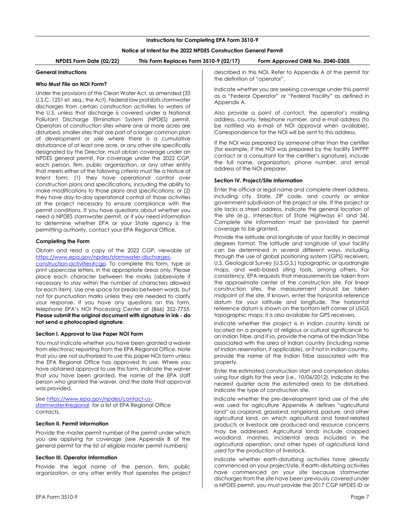## **Instructions for Completing EPA Form 3510-9**

## **Notice of Intent for the 2022 NPDES Construction General Permit**

**NPDES Form Date (02/22) This Form Replaces Form 3510-9 (02/17) Form Approved OMB No. 2040-0305**

#### **General Instructions**

#### **Who Must File an NOI Form?**

Under the provisions of the Clean Water Act, as amended (33 U.S.C. 1251 et. seq.; the Act), Federal law prohibits stormwater discharges from certain construction activities to waters of the U.S. unless that discharge is covered under a National Pollutant Discharge Elimination System (NPDES) permit. Operators of construction sites where one or more acres are disturbed, smaller sites that are part of a larger common plan of development or sale where there is a cumulative disturbance of at least one acre, or any other site specifically designated by the Director, must obtain coverage under an NPDES general permit. For coverage under the 2022 CGP, each person, firm, public organization, or any other entity that meets either of the following criteria must file a Notice of Intent form: (1) they have operational control over construction plans and specifications, including the ability to make modifications to those plans and specifications; or (2) they have day-to-day operational control of those activities at the project necessary to ensure compliance with the permit conditions. If you have questions about whether you need a NPDES stormwater permit, or if you need information to determine whether EPA or your State agency is the permitting authority, contact your EPA Regional Office.

#### **Completing the Form**

Obtain and read a copy of the 2022 CGP, viewable at https://www.epa.gov/npdes/stormwater-discharges-

construction-activities#cgp. To complete this form, type or print uppercase letters, in the appropriate areas only. Please place each character between the marks (abbreviate if necessary to stay within the number of characters allowed for each item). Use one space for breaks between words, but not for punctuation marks unless they are needed to clarify your response. If you have any questions on this form, telephone EPA's NOI Processing Center at (866) 352-7755. **Please submit the original document with signature in ink - do not send a photocopied signature.**

## <span id="page-7-0"></span>**Section I. Approval to Use Paper NOI Form**

You must indicate whether you have been granted a waiver from electronic reporting from the EPA Regional Office. Note that you are not authorized to use this paper NOI form unless the EPA Regional Office has approved its use. Where you have obtained approval to use this form, indicate the waiver that you have been granted, the name of the EPA staff person who granted the waiver, and the date that approval was provided.

See https://www.epa.gov/npdes/contact-usstormwater#regional for a list of EPA Regional Office contacts.

#### <span id="page-7-1"></span>**Section II. Permit Information**

Provide the master permit number of the permit under which you are applying for coverage (see Appendix B of the general permit for the list of eligible master permit numbers)

#### <span id="page-7-2"></span>**Section III. Operator Information**

Provide the legal name of the person, firm, public organization, or any other entity that operates the project described in this NOI. Refer to Appendix A of the permit for the definition of "operator".

Indicate whether you are seeking coverage under this permit as a "Federal Operator" or "Federal Facility" as defined in Appendix A.

Also provide a point of contact, the operator's mailing address, county, telephone number, and e-mail address (to be notified via e-mail of NOI approval when available). Correspondence for the NOI will be sent to this address.

If the NOI was prepared by someone other than the certifier (for example, if the NOI was prepared by the facility SWPPP contact or a consultant for the certifier's signature), include the full name, organization, phone number, and email address of the NOI preparer.

# <span id="page-7-3"></span>**Section IV. Project/Site Information**

Enter the official or legal name and complete street address, including city, State, ZIP code, and county or similar government subdivision of the project or site. If the project or site lacks a street address, indicate the general location of the site (e.g., Intersection of State Highways 61 and 34). Complete site information must be provided for permit coverage to be granted.

Provide the latitude and longitude of your facility in decimal degrees format. The latitude and longitude of your facility can be determined in several different ways, including through the use of global positioning system (GPS) receivers, U.S. Geological Survey (U.S.G.S.) topographic or quadrangle maps, and web-based siting tools, among others. For consistency, EPA requests that measurements be taken from the approximate center of the construction site. For linear construction sites, the measurement should be taken midpoint of the site. If known, enter the horizontal reference datum for your latitude and longitude. The horizontal reference datum is shown on the bottom left corner of USGS topographic maps; it is also available for GPS receivers.

Indicate whether the project is in Indian country lands or located on a property of religious or cultural significance to an Indian Tribe, and if so, provide the name of the Indian Tribe associated with the area of Indian country (including name of Indian reservation, if applicable), or if not in Indian country, provide the name of the Indian Tribe associated with the property.

Enter the estimated construction start and completion dates using four digits for the year (i.e., 10/06/2012). Indicate to the nearest quarter acre the estimated area to be disturbed. Indicate the type of construction site.

Indicate whether the pre-development land use of the site was used for agriculture Appendix A defines "agricultural land" as cropland, grassland, rangeland, pasture, and other agricultural land, on which agricultural and forest-related products or livestock are produced and resource concerns may be addressed. Agricultural lands include cropped woodland, marshes, incidental areas included in the agricultural operation, and other types of agricultural land used for the production of livestock.

Indicate whether earth-disturbing activities have already commenced on your project/site. If earth-disturbing activities have commenced on your site because stormwater discharges from the site have been previously covered under a NPDES permit, you must provide the 2017 CGP NPDES ID or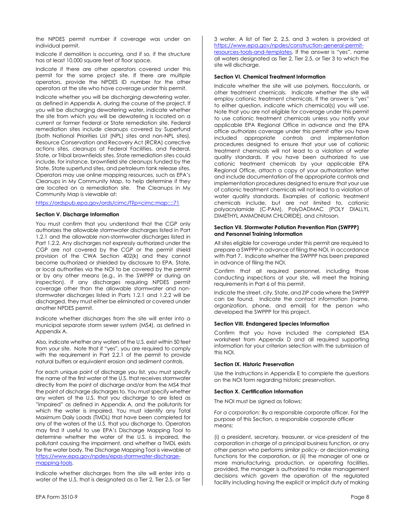the NPDES permit number if coverage was under an individual permit.

Indicate if demolition is occurring, and if so, if the structure has at least 10,000 square feet of floor space.

Indicate if there are other operators covered under this permit for the same project site. If there are multiple operators, provide the NPDES ID number for the other operators at the site who have coverage under this permit.

Indicate whether you will be discharging dewatering water, as defined in Appendix A, during the course of the project. If you will be discharging dewatering water, indicate whether the site from which you will be dewatering is located on a current or former Federal or State remediation site. Federal remediation sites include cleanups covered by Superfund (both National Priorities List (NPL) sites and non-NPL sites), Resource Conservation and Recovery Act (RCRA) corrective actions sites, cleanups at Federal Facilities, and Federal, State, or Tribal brownfields sites. State remediation sites could include, for instance, brownfield site cleanups funded by the State, State superfund sites, and petroleum tank release sites. Operators may use online mapping resources, such as EPA's Cleanups in My Community Map, to help determine if they are located on a remediation site. The Cleanups in My Community Map is viewable at:

https://ordspub.epa.gov/ords/cimc/f?p=cimc:map::::71

#### <span id="page-8-0"></span>**Section V. Discharge Information**

You must confirm that you understand that the CGP only authorizes the allowable stormwater discharges listed in Part 1.2.1 and the allowable non-stormwater discharges listed in Part 1.2.2. Any discharges not expressly authorized under the CGP are not covered by the CGP or the permit shield provision of the CWA Section 402(k) and they cannot become authorized or shielded by disclosure to EPA, State, or local authorities via the NOI to be covered by the permit or by any other means (e.g., in the SWPPP or during an inspection). If any discharges requiring NPDES permit coverage other than the allowable stormwater and nonstormwater discharges listed in Parts 1.2.1 and 1.2.2 will be discharged, they must either be eliminated or covered under another NPDES permit.

Indicate whether discharges from the site will enter into a municipal separate storm sewer system (MS4), as defined in Appendix A.

Also, indicate whether any waters of the U.S. exist within 50 feet from your site. Note that if "yes", you are required to comply with the requirement in Part 2.2.1 of the permit to provide natural buffers or equivalent erosion and sediment controls.

For each unique point of discharge you list, you must specify the name of the first water of the U.S. that receives stormwater directly from the point of discharge and/or from the MS4 that the point of discharge discharges to. You must specify whether any waters of the U.S. that you discharge to are listed as "impaired" as defined in Appendix A, and the pollutants for which the water is impaired. You must identify any Total Maximum Daily Loads (TMDL) that have been completed for any of the waters of the U.S. that you discharge to. Operators may find it useful to use EPA's Discharge Mapping Tool to determine whether the water of the U.S. is impaired, the pollutant causing the impairment, and whether a TMDL exists for the water body. The Discharge Mapping Tool is viewable at https://www.epa.gov/npdes/epas-stormwater-dischargemapping-tools.

Indicate whether discharges from the site will enter into a water of the U.S. that is designated as a Tier 2, Tier 2.5, or Tier 3 water. A list of Tier 2, 2.5, and 3 waters is provided at https://www.epa.gov/npdes/construction-general-permitresources-tools-and-templates. If the answer is "yes", name all waters designated as Tier 2, Tier 2.5, or Tier 3 to which the site will discharge.

## <span id="page-8-1"></span>**Section VI. Chemical Treatment Information**

Indicate whether the site will use polymers, flocculants, or other treatment chemicals. Indicate whether the site will employ cationic treatment chemicals. If the answer is "yes" to either question, indicate which chemical(s) you will use. Note that you are not eligible for coverage under this permit to use cationic treatment chemicals unless you notify your applicable EPA Regional Office in advance and the EPA office authorizes coverage under this permit after you have included appropriate controls and implementation procedures designed to ensure that your use of cationic treatment chemicals will not lead to a violation of water quality standards. If you have been authorized to use cationic treatment chemicals by your applicable EPA Regional Office, attach a copy of your authorization letter and include documentation of the appropriate controls and implementation procedures designed to ensure that your use of cationic treatment chemicals will not lead to a violation of water quality standards. Examples of cationic treatment chemicals include, but are not limited to, cationic polyacrylamide (C-PAM), PolyDADMAC (POLY DIALLYL DIMETHYL AMMONIUM CHLORIDE), and chitosan.

#### <span id="page-8-2"></span>**Section VII. Stormwater Pollution Prevention Plan (SWPPP) and Personnel Training Information**

All sites eligible for coverage under this permit are required to prepare a SWPPP in advance of filing the NOI, in accordance with Part 7. Indicate whether the SWPPP has been prepared in advance of filing the NOI.

Confirm that all required personnel, including those conducting inspections at your site, will meet the training requirements in Part 6 of this permit.

Indicate the street, city, State, and ZIP code where the SWPPP can be found. Indicate the contact information (name, organization, phone, and email) for the person who developed the SWPPP for this project.

## <span id="page-8-3"></span>**Section VIII. Endangered Species Information**

Confirm that you have included the completed ESA worksheet from Appendix D and all required supporting information for your criterion selection with the submission of this NOI.

#### <span id="page-8-4"></span>**Section IX. Historic Preservation**

Use the instructions in Appendix E to complete the questions on the NOI form regarding historic preservation.

#### <span id="page-8-5"></span>**Section X. Certification Information**

The NOI must be signed as follows:

*For a corporation:* By a responsible corporate officer. For the purpose of this Section, a responsible corporate officer means:

(i) a president, secretary, treasurer, or vice-president of the corporation in charge of a principal business function, or any other person who performs similar policy- or decision-making functions for the corporation, or (ii) the manager of one or more manufacturing, production, or operating facilities, provided, the manager is authorized to make management decisions which govern the operation of the regulated facility including having the explicit or implicit duty of making